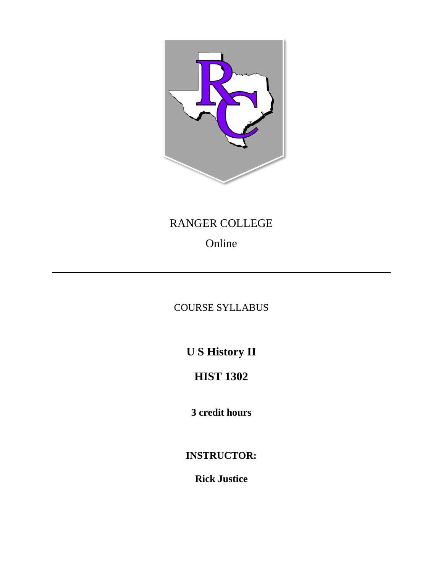

## RANGER COLLEGE

# Online

## COURSE SYLLABUS

**U S History II**

## **HIST 1302**

**3 credit hours**

**INSTRUCTOR:**

**Rick Justice**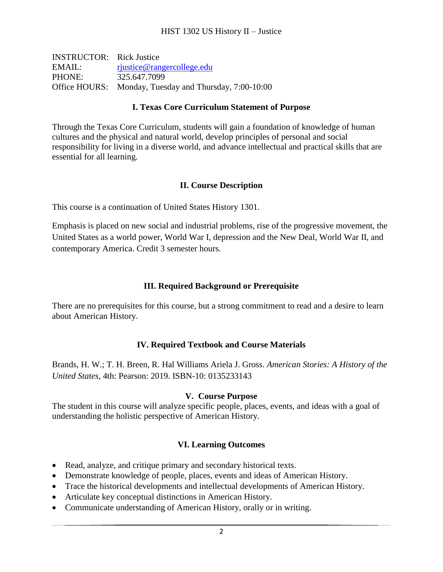| <b>INSTRUCTOR:</b> Rick Justice |                                                        |
|---------------------------------|--------------------------------------------------------|
| EMAIL:                          | rjustice@rangercollege.edu                             |
| PHONE:                          | 325.647.7099                                           |
|                                 | Office HOURS: Monday, Tuesday and Thursday, 7:00-10:00 |

#### **I. Texas Core Curriculum Statement of Purpose**

Through the Texas Core Curriculum, students will gain a foundation of knowledge of human cultures and the physical and natural world, develop principles of personal and social responsibility for living in a diverse world, and advance intellectual and practical skills that are essential for all learning.

#### **II. Course Description**

This course is a continuation of United States History 1301.

Emphasis is placed on new social and industrial problems, rise of the progressive movement, the United States as a world power, World War I, depression and the New Deal, World War II, and contemporary America. Credit 3 semester hours.

## **III. Required Background or Prerequisite**

There are no prerequisites for this course, but a strong commitment to read and a desire to learn about American History.

### **IV. Required Textbook and Course Materials**

Brands, H. W.; T. H. Breen, R. Hal Williams Ariela J. Gross. *American Stories: A History of the United States*, 4th: Pearson: 2019. ISBN-10: 0135233143

#### **V. Course Purpose**

The student in this course will analyze specific people, places, events, and ideas with a goal of understanding the holistic perspective of American History.

### **VI. Learning Outcomes**

- Read, analyze, and critique primary and secondary historical texts.
- Demonstrate knowledge of people, places, events and ideas of American History.
- Trace the historical developments and intellectual developments of American History.
- Articulate key conceptual distinctions in American History.
- Communicate understanding of American History, orally or in writing.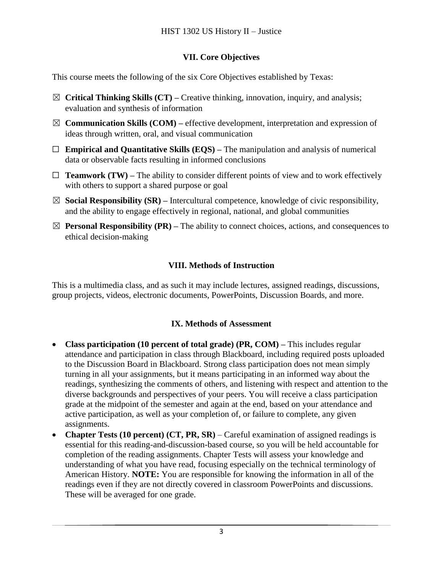## **VII. Core Objectives**

This course meets the following of the six Core Objectives established by Texas:

- ☒ **Critical Thinking Skills (CT) –** Creative thinking, innovation, inquiry, and analysis; evaluation and synthesis of information
- $\boxtimes$  **Communication Skills (COM)** effective development, interpretation and expression of ideas through written, oral, and visual communication
- ☐ **Empirical and Quantitative Skills (EQS) –** The manipulation and analysis of numerical data or observable facts resulting in informed conclusions
- $\Box$  **Teamwork (TW)** The ability to consider different points of view and to work effectively with others to support a shared purpose or goal
- ☒ **Social Responsibility (SR) –** Intercultural competence, knowledge of civic responsibility, and the ability to engage effectively in regional, national, and global communities
- $\boxtimes$  **Personal Responsibility (PR)** The ability to connect choices, actions, and consequences to ethical decision-making

## **VIII. Methods of Instruction**

This is a multimedia class, and as such it may include lectures, assigned readings, discussions, group projects, videos, electronic documents, PowerPoints, Discussion Boards, and more.

## **IX. Methods of Assessment**

- **Class participation (10 percent of total grade) (PR, COM) –** This includes regular attendance and participation in class through Blackboard, including required posts uploaded to the Discussion Board in Blackboard. Strong class participation does not mean simply turning in all your assignments, but it means participating in an informed way about the readings, synthesizing the comments of others, and listening with respect and attention to the diverse backgrounds and perspectives of your peers. You will receive a class participation grade at the midpoint of the semester and again at the end, based on your attendance and active participation, as well as your completion of, or failure to complete, any given assignments.
- **Chapter Tests (10 percent) (CT, PR, SR)**  Careful examination of assigned readings is essential for this reading-and-discussion-based course, so you will be held accountable for completion of the reading assignments. Chapter Tests will assess your knowledge and understanding of what you have read, focusing especially on the technical terminology of American History. **NOTE:** You are responsible for knowing the information in all of the readings even if they are not directly covered in classroom PowerPoints and discussions. These will be averaged for one grade.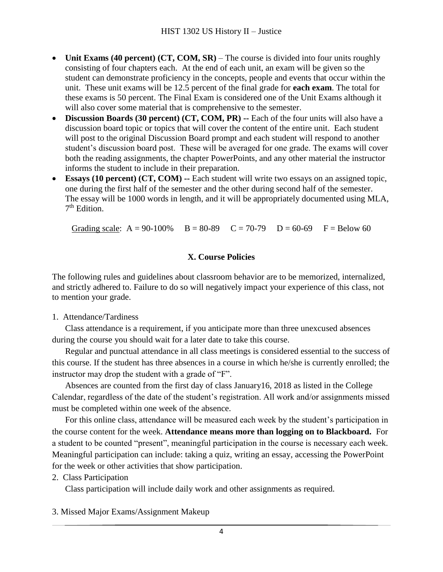- **Unit Exams** (40 percent) **(CT, COM, SR)** The course is divided into four units roughly consisting of four chapters each. At the end of each unit, an exam will be given so the student can demonstrate proficiency in the concepts, people and events that occur within the unit. These unit exams will be 12.5 percent of the final grade for **each exam**. The total for these exams is 50 percent. The Final Exam is considered one of the Unit Exams although it will also cover some material that is comprehensive to the semester.
- **Discussion Boards (30 percent) (CT, COM, PR) --** Each of the four units will also have a discussion board topic or topics that will cover the content of the entire unit. Each student will post to the original Discussion Board prompt and each student will respond to another student's discussion board post. These will be averaged for one grade. The exams will cover both the reading assignments, the chapter PowerPoints, and any other material the instructor informs the student to include in their preparation.
- **Essays (10 percent) (CT, COM) --** Each student will write two essays on an assigned topic, one during the first half of the semester and the other during second half of the semester. The essay will be 1000 words in length, and it will be appropriately documented using MLA, 7<sup>th</sup> Edition.

Grading scale:  $A = 90-100\%$   $B = 80-89$   $C = 70-79$   $D = 60-69$   $F = Below 60$ 

## **X. Course Policies**

The following rules and guidelines about classroom behavior are to be memorized, internalized, and strictly adhered to. Failure to do so will negatively impact your experience of this class, not to mention your grade.

1. Attendance/Tardiness

Class attendance is a requirement, if you anticipate more than three unexcused absences during the course you should wait for a later date to take this course.

Regular and punctual attendance in all class meetings is considered essential to the success of this course. If the student has three absences in a course in which he/she is currently enrolled; the instructor may drop the student with a grade of "F".

Absences are counted from the first day of class January16, 2018 as listed in the College Calendar, regardless of the date of the student's registration. All work and/or assignments missed must be completed within one week of the absence.

For this online class, attendance will be measured each week by the student's participation in the course content for the week. **Attendance means more than logging on to Blackboard.** For a student to be counted "present", meaningful participation in the course is necessary each week. Meaningful participation can include: taking a quiz, writing an essay, accessing the PowerPoint for the week or other activities that show participation.

### 2. Class Participation

Class participation will include daily work and other assignments as required.

3. Missed Major Exams/Assignment Makeup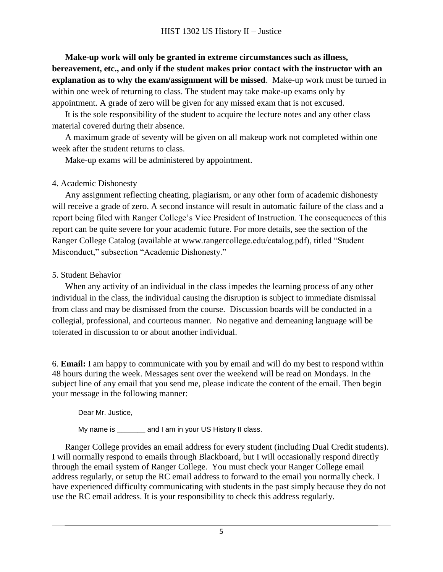**Make-up work will only be granted in extreme circumstances such as illness, bereavement, etc., and only if the student makes prior contact with the instructor with an explanation as to why the exam/assignment will be missed**. Make-up work must be turned in within one week of returning to class. The student may take make-up exams only by appointment. A grade of zero will be given for any missed exam that is not excused.

It is the sole responsibility of the student to acquire the lecture notes and any other class material covered during their absence.

A maximum grade of seventy will be given on all makeup work not completed within one week after the student returns to class.

Make-up exams will be administered by appointment.

## 4. Academic Dishonesty

Any assignment reflecting cheating, plagiarism, or any other form of academic dishonesty will receive a grade of zero. A second instance will result in automatic failure of the class and a report being filed with Ranger College's Vice President of Instruction. The consequences of this report can be quite severe for your academic future. For more details, see the section of the Ranger College Catalog (available at www.rangercollege.edu/catalog.pdf), titled "Student Misconduct," subsection "Academic Dishonesty."

## 5. Student Behavior

When any activity of an individual in the class impedes the learning process of any other individual in the class, the individual causing the disruption is subject to immediate dismissal from class and may be dismissed from the course. Discussion boards will be conducted in a collegial, professional, and courteous manner. No negative and demeaning language will be tolerated in discussion to or about another individual.

6. **Email:** I am happy to communicate with you by email and will do my best to respond within 48 hours during the week. Messages sent over the weekend will be read on Mondays. In the subject line of any email that you send me, please indicate the content of the email. Then begin your message in the following manner:

Dear Mr. Justice,

My name is \_\_\_\_\_\_\_ and I am in your US History II class.

Ranger College provides an email address for every student (including Dual Credit students). I will normally respond to emails through Blackboard, but I will occasionally respond directly through the email system of Ranger College. You must check your Ranger College email address regularly, or setup the RC email address to forward to the email you normally check. I have experienced difficulty communicating with students in the past simply because they do not use the RC email address. It is your responsibility to check this address regularly.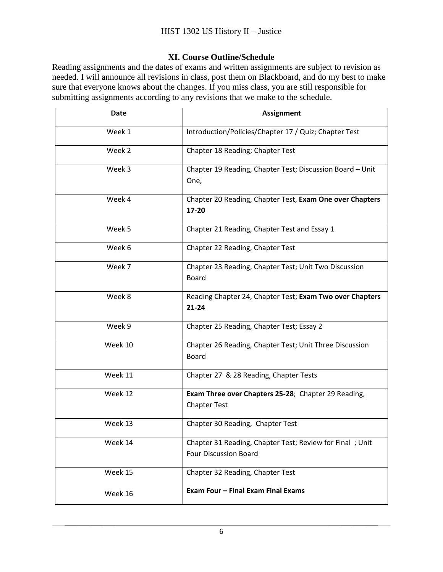### **XI. Course Outline/Schedule**

Reading assignments and the dates of exams and written assignments are subject to revision as needed. I will announce all revisions in class, post them on Blackboard, and do my best to make sure that everyone knows about the changes. If you miss class, you are still responsible for submitting assignments according to any revisions that we make to the schedule.

| <b>Date</b> | <b>Assignment</b>                                                                        |
|-------------|------------------------------------------------------------------------------------------|
| Week 1      | Introduction/Policies/Chapter 17 / Quiz; Chapter Test                                    |
| Week 2      | Chapter 18 Reading; Chapter Test                                                         |
| Week 3      | Chapter 19 Reading, Chapter Test; Discussion Board - Unit<br>One,                        |
| Week 4      | Chapter 20 Reading, Chapter Test, Exam One over Chapters<br>17-20                        |
| Week 5      | Chapter 21 Reading, Chapter Test and Essay 1                                             |
| Week 6      | Chapter 22 Reading, Chapter Test                                                         |
| Week 7      | Chapter 23 Reading, Chapter Test; Unit Two Discussion<br><b>Board</b>                    |
| Week 8      | Reading Chapter 24, Chapter Test; Exam Two over Chapters<br>$21 - 24$                    |
| Week 9      | Chapter 25 Reading, Chapter Test; Essay 2                                                |
| Week 10     | Chapter 26 Reading, Chapter Test; Unit Three Discussion<br><b>Board</b>                  |
| Week 11     | Chapter 27 & 28 Reading, Chapter Tests                                                   |
| Week 12     | Exam Three over Chapters 25-28; Chapter 29 Reading,<br><b>Chapter Test</b>               |
| Week 13     | Chapter 30 Reading, Chapter Test                                                         |
| Week 14     | Chapter 31 Reading, Chapter Test; Review for Final; Unit<br><b>Four Discussion Board</b> |
| Week 15     | Chapter 32 Reading, Chapter Test                                                         |
| Week 16     | Exam Four - Final Exam Final Exams                                                       |